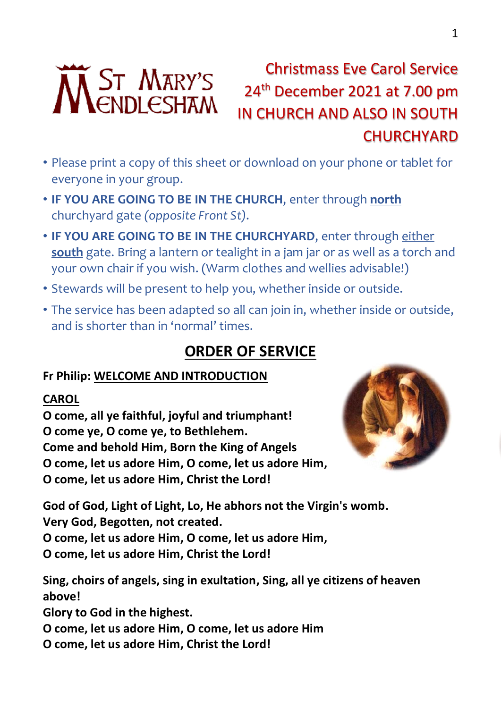

# Christmass Eve Carol Service 24th December 2021 at 7.00 pm IN CHURCH AND ALSO IN SOUTH **CHURCHYARD**

- Please print a copy of this sheet or download on your phone or tablet for everyone in your group.
- **IF YOU ARE GOING TO BE IN THE CHURCH**, enter through **north** churchyard gate *(opposite Front St)*.
- **IF YOU ARE GOING TO BE IN THE CHURCHYARD**, enter through either **south** gate. Bring a lantern or tealight in a jam jar or as well as a torch and your own chair if you wish. (Warm clothes and wellies advisable!)
- Stewards will be present to help you, whether inside or outside.
- The service has been adapted so all can join in, whether inside or outside, and is shorter than in 'normal' times.

# **ORDER OF SERVICE**

## **Fr Philip: WELCOME AND INTRODUCTION**

#### **CAROL**

**O come, all ye faithful, joyful and triumphant! O come ye, O come ye, to Bethlehem. Come and behold Him, Born the King of Angels O come, let us adore Him, O come, let us adore Him, O come, let us adore Him, Christ the Lord!**



**God of God, Light of Light, Lo, He abhors not the Virgin's womb. Very God, Begotten, not created.**

**O come, let us adore Him, O come, let us adore Him,**

**O come, let us adore Him, Christ the Lord!**

**Sing, choirs of angels, sing in exultation, Sing, all ye citizens of heaven above!**

**Glory to God in the highest.**

- **O come, let us adore Him, O come, let us adore Him**
- **O come, let us adore Him, Christ the Lord!**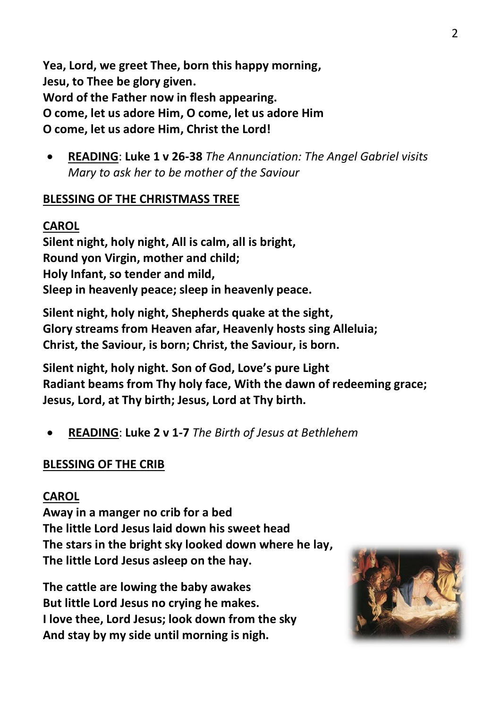**Yea, Lord, we greet Thee, born this happy morning, Jesu, to Thee be glory given. Word of the Father now in flesh appearing. O come, let us adore Him, O come, let us adore Him O come, let us adore Him, Christ the Lord!**

• **READING**: **Luke 1 v 26-38** *The Annunciation: The Angel Gabriel visits Mary to ask her to be mother of the Saviour*

#### **BLESSING OF THE CHRISTMASS TREE**

#### **CAROL**

**Silent night, holy night, All is calm, all is bright, Round yon Virgin, mother and child; Holy Infant, so tender and mild, Sleep in heavenly peace; sleep in heavenly peace.**

**Silent night, holy night, Shepherds quake at the sight, Glory streams from Heaven afar, Heavenly hosts sing Alleluia; Christ, the Saviour, is born; Christ, the Saviour, is born.**

**Silent night, holy night. Son of God, Love's pure Light Radiant beams from Thy holy face, With the dawn of redeeming grace; Jesus, Lord, at Thy birth; Jesus, Lord at Thy birth.**

• **READING**: **Luke 2 v 1-7** *The Birth of Jesus at Bethlehem*

#### **BLESSING OF THE CRIB**

#### **CAROL**

**Away in a manger no crib for a bed The little Lord Jesus laid down his sweet head The stars in the bright sky looked down where he lay, The little Lord Jesus asleep on the hay.**

**The cattle are lowing the baby awakes But little Lord Jesus no crying he makes. I love thee, Lord Jesus; look down from the sky And stay by my side until morning is nigh.**

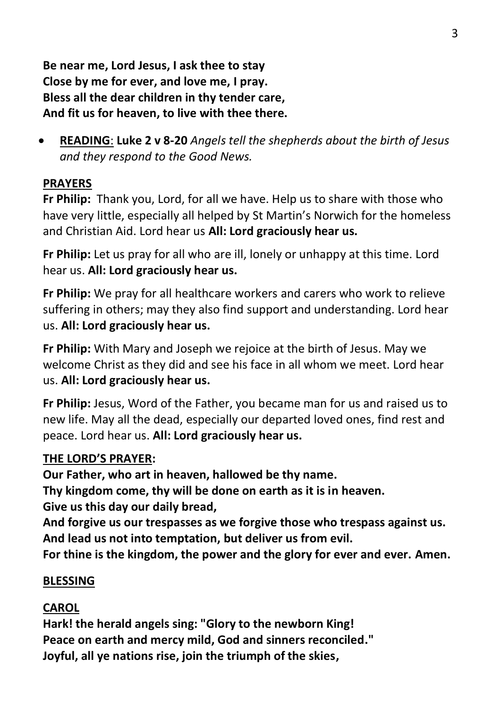**Be near me, Lord Jesus, I ask thee to stay Close by me for ever, and love me, I pray. Bless all the dear children in thy tender care, And fit us for heaven, to live with thee there.**

• **READING**: **Luke 2 v 8-20** *Angels tell the shepherds about the birth of Jesus and they respond to the Good News.*

## **PRAYERS**

**Fr Philip:** Thank you, Lord, for all we have. Help us to share with those who have very little, especially all helped by St Martin's Norwich for the homeless and Christian Aid. Lord hear us **All: Lord graciously hear us.**

**Fr Philip:** Let us pray for all who are ill, lonely or unhappy at this time. Lord hear us. **All: Lord graciously hear us.**

**Fr Philip:** We pray for all healthcare workers and carers who work to relieve suffering in others; may they also find support and understanding. Lord hear us. **All: Lord graciously hear us.**

**Fr Philip:** With Mary and Joseph we rejoice at the birth of Jesus. May we welcome Christ as they did and see his face in all whom we meet. Lord hear us. **All: Lord graciously hear us.**

**Fr Philip:** Jesus, Word of the Father, you became man for us and raised us to new life. May all the dead, especially our departed loved ones, find rest and peace. Lord hear us. **All: Lord graciously hear us.**

#### **THE LORD'S PRAYER:**

**Our Father, who art in heaven, hallowed be thy name.**

**Thy kingdom come, thy will be done on earth as it is in heaven.**

**Give us this day our daily bread,**

**And forgive us our trespasses as we forgive those who trespass against us. And lead us not into temptation, but deliver us from evil.**

**For thine is the kingdom, the power and the glory for ever and ever. Amen.**

## **BLESSING**

# **CAROL**

**Hark! the herald angels sing: "Glory to the newborn King! Peace on earth and mercy mild, God and sinners reconciled." Joyful, all ye nations rise, join the triumph of the skies,**